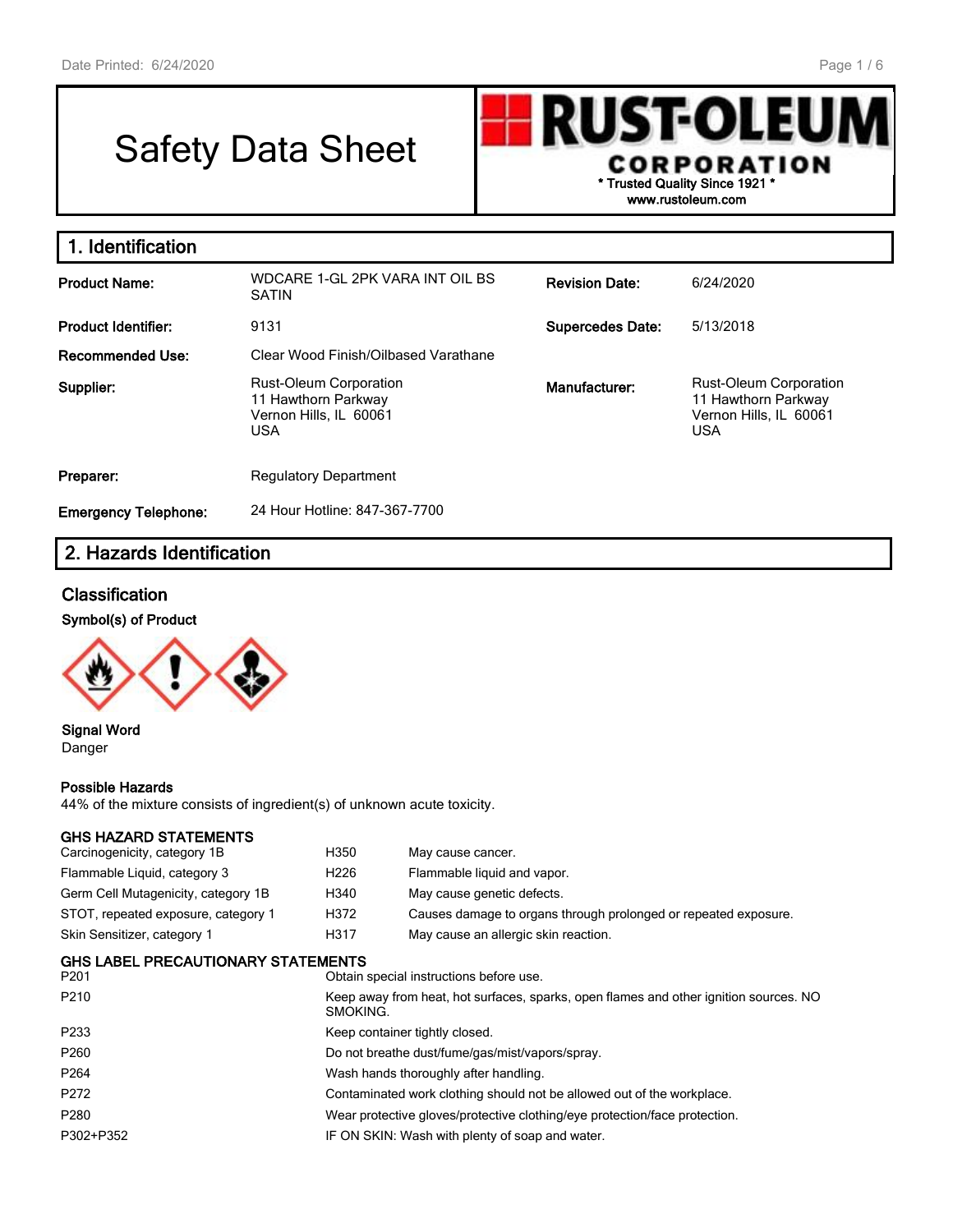# Safety Data Sheet



**1. Identification Product Name:** WDCARE 1-GL 2PK VARA INT OIL BS SATIN **Revision Date:** 6/24/2020 **Product Identifier:** 9131 **Supercedes Date:** 5/13/2018 **Recommended Use:** Clear Wood Finish/Oilbased Varathane **Supplier:** Rust-Oleum Corporation 11 Hawthorn Parkway Vernon Hills, IL 60061 USA **Manufacturer:** Rust-Oleum Corporation 11 Hawthorn Parkway Vernon Hills, IL 60061 USA **Preparer:** Regulatory Department **Emergency Telephone:** 24 Hour Hotline: 847-367-7700

## **2. Hazards Identification**

## **Classification**

#### **Symbol(s) of Product**



**Signal Word** Danger

#### **Possible Hazards**

44% of the mixture consists of ingredient(s) of unknown acute toxicity.

#### **GHS HAZARD STATEMENTS**

| Carcinogenicity, category 1B               | H350             | May cause cancer.                                                                     |  |  |  |
|--------------------------------------------|------------------|---------------------------------------------------------------------------------------|--|--|--|
| Flammable Liquid, category 3               | H <sub>226</sub> | Flammable liquid and vapor.                                                           |  |  |  |
| Germ Cell Mutagenicity, category 1B        | H340             | May cause genetic defects.                                                            |  |  |  |
| STOT, repeated exposure, category 1        | H372             | Causes damage to organs through prolonged or repeated exposure.                       |  |  |  |
| Skin Sensitizer, category 1                | H317             | May cause an allergic skin reaction.                                                  |  |  |  |
| GHS LABEL PRECAUTIONARY STATEMENTS<br>P201 |                  | Obtain special instructions before use.                                               |  |  |  |
| P210                                       | SMOKING.         | Keep away from heat, hot surfaces, sparks, open flames and other ignition sources. NO |  |  |  |
| P233                                       |                  | Keep container tightly closed.                                                        |  |  |  |
| P260                                       |                  | Do not breathe dust/fume/gas/mist/vapors/spray.                                       |  |  |  |
| P264                                       |                  | Wash hands thoroughly after handling.                                                 |  |  |  |
| P272                                       |                  | Contaminated work clothing should not be allowed out of the workplace.                |  |  |  |
| P280                                       |                  | Wear protective gloves/protective clothing/eye protection/face protection.            |  |  |  |
| P302+P352                                  |                  | IF ON SKIN: Wash with plenty of soap and water.                                       |  |  |  |
|                                            |                  |                                                                                       |  |  |  |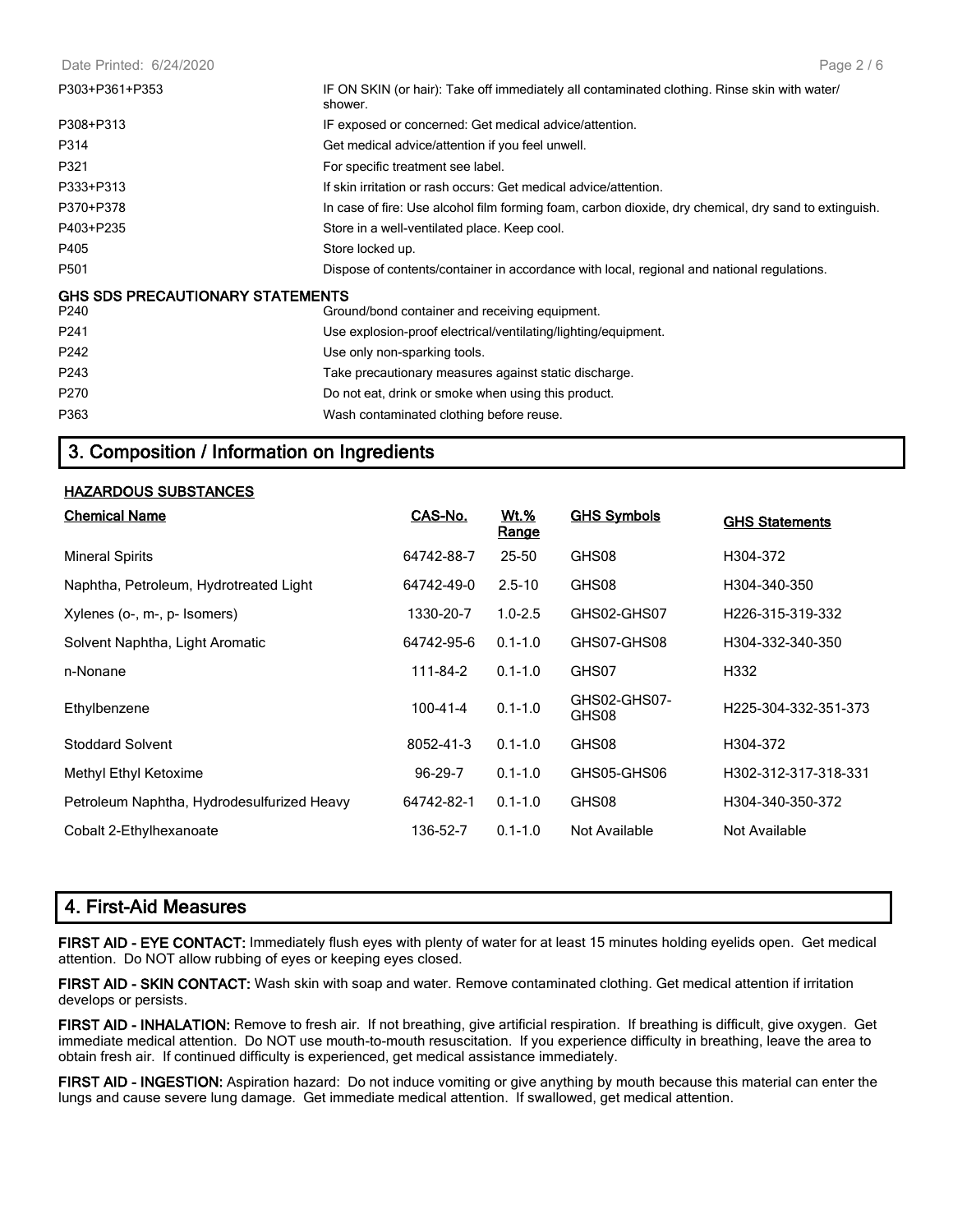Date Printed: 6/24/2020

| P303+P361+P353                          | IF ON SKIN (or hair): Take off immediately all contaminated clothing. Rinse skin with water/<br>shower. |
|-----------------------------------------|---------------------------------------------------------------------------------------------------------|
| P308+P313                               | IF exposed or concerned: Get medical advice/attention.                                                  |
| P314                                    | Get medical advice/attention if you feel unwell.                                                        |
| P321                                    | For specific treatment see label.                                                                       |
| P333+P313                               | If skin irritation or rash occurs: Get medical advice/attention.                                        |
| P370+P378                               | In case of fire: Use alcohol film forming foam, carbon dioxide, dry chemical, dry sand to extinguish.   |
| P403+P235                               | Store in a well-ventilated place. Keep cool.                                                            |
| P405                                    | Store locked up.                                                                                        |
| P501                                    | Dispose of contents/container in accordance with local, regional and national regulations.              |
| <b>GHS SDS PRECAUTIONARY STATEMENTS</b> |                                                                                                         |
| P240                                    | Ground/bond container and receiving equipment.                                                          |
| P241                                    | Use explosion-proof electrical/ventilating/lighting/equipment.                                          |
| P242                                    | Use only non-sparking tools.                                                                            |
| P243                                    | Take precautionary measures against static discharge.                                                   |
| P270                                    | Do not eat, drink or smoke when using this product.                                                     |
| P363                                    | Wash contaminated clothing before reuse.                                                                |

## **3. Composition / Information on Ingredients**

#### **HAZARDOUS SUBSTANCES**

| <b>Chemical Name</b>                       | CAS-No.       | <u>Wt.%</u><br>Range | <b>GHS Symbols</b>    | <b>GHS Statements</b>         |
|--------------------------------------------|---------------|----------------------|-----------------------|-------------------------------|
| <b>Mineral Spirits</b>                     | 64742-88-7    | $25 - 50$            | GHS08                 | H304-372                      |
| Naphtha, Petroleum, Hydrotreated Light     | 64742-49-0    | $2.5 - 10$           | GHS08                 | H304-340-350                  |
| Xylenes (o-, m-, p- Isomers)               | 1330-20-7     | $1.0 - 2.5$          | GHS02-GHS07           | H <sub>226</sub> -315-319-332 |
| Solvent Naphtha, Light Aromatic            | 64742-95-6    | $0.1 - 1.0$          | GHS07-GHS08           | H304-332-340-350              |
| n-Nonane                                   | 111-84-2      | $0.1 - 1.0$          | GHS07                 | H332                          |
| Ethylbenzene                               | 100-41-4      | $0.1 - 1.0$          | GHS02-GHS07-<br>GHS08 | H225-304-332-351-373          |
| <b>Stoddard Solvent</b>                    | 8052-41-3     | $0.1 - 1.0$          | GHS08                 | H304-372                      |
| Methyl Ethyl Ketoxime                      | $96 - 29 - 7$ | $0.1 - 1.0$          | GHS05-GHS06           | H302-312-317-318-331          |
| Petroleum Naphtha, Hydrodesulfurized Heavy | 64742-82-1    | $0.1 - 1.0$          | GHS08                 | H304-340-350-372              |
| Cobalt 2-Ethylhexanoate                    | 136-52-7      | $0.1 - 1.0$          | Not Available         | Not Available                 |

## **4. First-Aid Measures**

**FIRST AID - EYE CONTACT:** Immediately flush eyes with plenty of water for at least 15 minutes holding eyelids open. Get medical attention. Do NOT allow rubbing of eyes or keeping eyes closed.

**FIRST AID - SKIN CONTACT:** Wash skin with soap and water. Remove contaminated clothing. Get medical attention if irritation develops or persists.

**FIRST AID - INHALATION:** Remove to fresh air. If not breathing, give artificial respiration. If breathing is difficult, give oxygen. Get immediate medical attention. Do NOT use mouth-to-mouth resuscitation. If you experience difficulty in breathing, leave the area to obtain fresh air. If continued difficulty is experienced, get medical assistance immediately.

**FIRST AID - INGESTION:** Aspiration hazard: Do not induce vomiting or give anything by mouth because this material can enter the lungs and cause severe lung damage. Get immediate medical attention. If swallowed, get medical attention.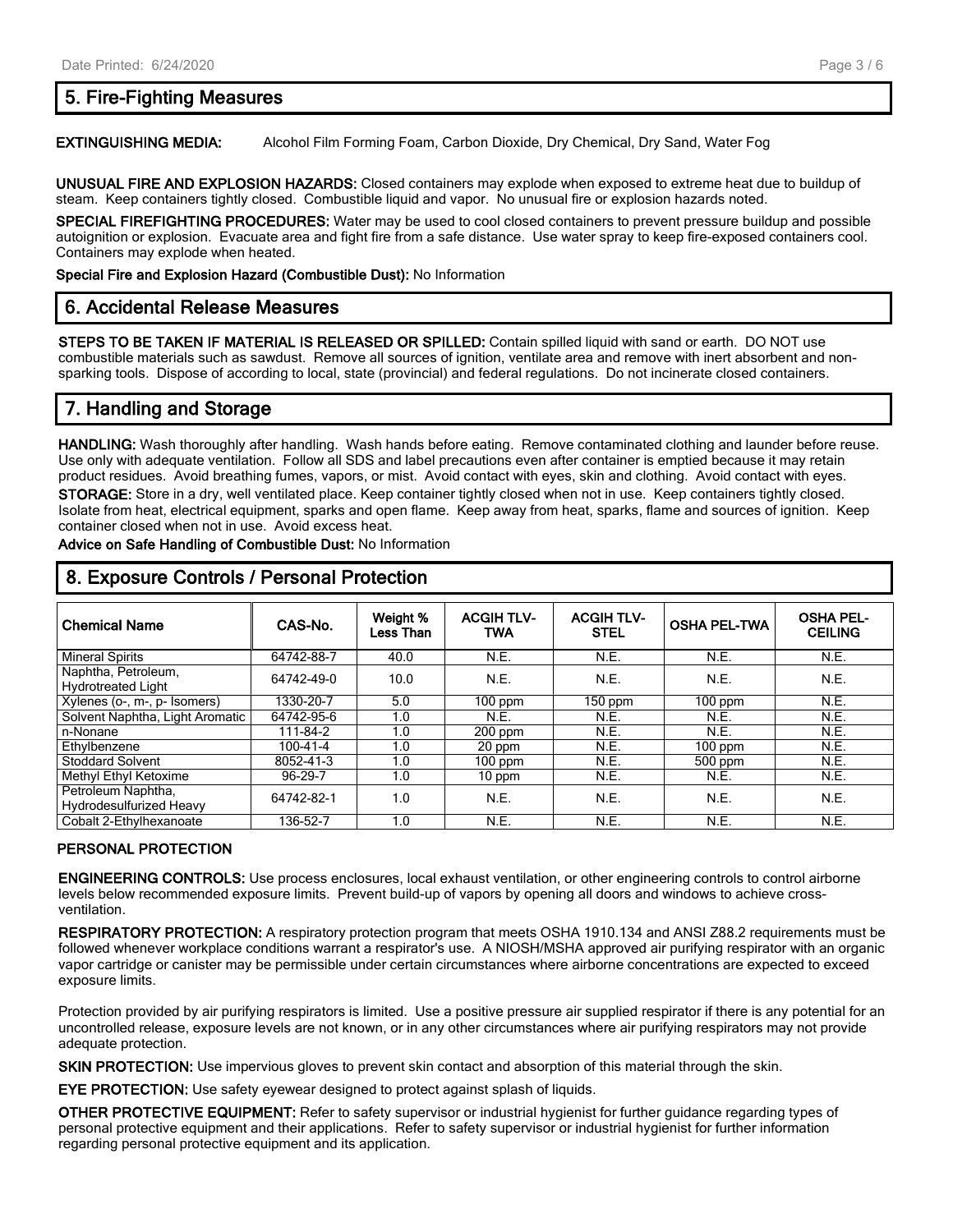## **5. Fire-Fighting Measures**

**EXTINGUISHING MEDIA:** Alcohol Film Forming Foam, Carbon Dioxide, Dry Chemical, Dry Sand, Water Fog

**UNUSUAL FIRE AND EXPLOSION HAZARDS:** Closed containers may explode when exposed to extreme heat due to buildup of steam. Keep containers tightly closed. Combustible liquid and vapor. No unusual fire or explosion hazards noted.

**SPECIAL FIREFIGHTING PROCEDURES:** Water may be used to cool closed containers to prevent pressure buildup and possible autoignition or explosion. Evacuate area and fight fire from a safe distance. Use water spray to keep fire-exposed containers cool. Containers may explode when heated.

**Special Fire and Explosion Hazard (Combustible Dust):** No Information

### **6. Accidental Release Measures**

**STEPS TO BE TAKEN IF MATERIAL IS RELEASED OR SPILLED:** Contain spilled liquid with sand or earth. DO NOT use combustible materials such as sawdust. Remove all sources of ignition, ventilate area and remove with inert absorbent and nonsparking tools. Dispose of according to local, state (provincial) and federal regulations. Do not incinerate closed containers.

## **7. Handling and Storage**

**HANDLING:** Wash thoroughly after handling. Wash hands before eating. Remove contaminated clothing and launder before reuse. Use only with adequate ventilation. Follow all SDS and label precautions even after container is emptied because it may retain product residues. Avoid breathing fumes, vapors, or mist. Avoid contact with eyes, skin and clothing. Avoid contact with eyes. **STORAGE:** Store in a dry, well ventilated place. Keep container tightly closed when not in use. Keep containers tightly closed. Isolate from heat, electrical equipment, sparks and open flame. Keep away from heat, sparks, flame and sources of ignition. Keep container closed when not in use. Avoid excess heat.

**Advice on Safe Handling of Combustible Dust:** No Information

| <b>Chemical Name</b>                                 | CAS-No.    | Weight %<br>Less Than | <b>ACGIHTLV-</b><br>TWA | <b>ACGIH TLV-</b><br><b>STEL</b> | <b>OSHA PEL-TWA</b> | <b>OSHA PEL-</b><br><b>CEILING</b> |
|------------------------------------------------------|------------|-----------------------|-------------------------|----------------------------------|---------------------|------------------------------------|
| <b>Mineral Spirits</b>                               | 64742-88-7 | 40.0                  | N.E.                    | N.E.                             | N.E.                | N.E.                               |
| Naphtha, Petroleum,<br><b>Hydrotreated Light</b>     | 64742-49-0 | 10.0                  | N.E.                    | N.E.                             | N.E.                | N.E.                               |
| Xylenes (o-, m-, p- Isomers)                         | 1330-20-7  | 5.0                   | $100$ ppm               | 150 ppm                          | $100$ ppm           | N.E.                               |
| Solvent Naphtha, Light Aromatic                      | 64742-95-6 | 1.0                   | N.E.                    | N.E.                             | N.E.                | N.E.                               |
| n-Nonane                                             | 111-84-2   | 1.0                   | $200$ ppm               | N.E.                             | N.E.                | N.E.                               |
| Ethylbenzene                                         | 100-41-4   | 1.0                   | 20 ppm                  | N.E.                             | $100$ ppm           | N.E.                               |
| <b>Stoddard Solvent</b>                              | 8052-41-3  | 1.0                   | $100$ ppm               | N.E.                             | 500 ppm             | N.E.                               |
| Methyl Ethyl Ketoxime                                | 96-29-7    | 1.0                   | 10 ppm                  | N.E.                             | N.E.                | N.E.                               |
| Petroleum Naphtha,<br><b>Hydrodesulfurized Heavy</b> | 64742-82-1 | 1.0                   | N.E.                    | N.E.                             | N.E.                | N.E.                               |
| Cobalt 2-Ethylhexanoate                              | 136-52-7   | 1.0                   | N.E.                    | N.E.                             | N.E.                | N.E.                               |

## **8. Exposure Controls / Personal Protection**

#### **PERSONAL PROTECTION**

**ENGINEERING CONTROLS:** Use process enclosures, local exhaust ventilation, or other engineering controls to control airborne levels below recommended exposure limits. Prevent build-up of vapors by opening all doors and windows to achieve crossventilation.

**RESPIRATORY PROTECTION:** A respiratory protection program that meets OSHA 1910.134 and ANSI Z88.2 requirements must be followed whenever workplace conditions warrant a respirator's use. A NIOSH/MSHA approved air purifying respirator with an organic vapor cartridge or canister may be permissible under certain circumstances where airborne concentrations are expected to exceed exposure limits.

Protection provided by air purifying respirators is limited. Use a positive pressure air supplied respirator if there is any potential for an uncontrolled release, exposure levels are not known, or in any other circumstances where air purifying respirators may not provide adequate protection.

**SKIN PROTECTION:** Use impervious gloves to prevent skin contact and absorption of this material through the skin.

**EYE PROTECTION:** Use safety eyewear designed to protect against splash of liquids.

**OTHER PROTECTIVE EQUIPMENT:** Refer to safety supervisor or industrial hygienist for further guidance regarding types of personal protective equipment and their applications. Refer to safety supervisor or industrial hygienist for further information regarding personal protective equipment and its application.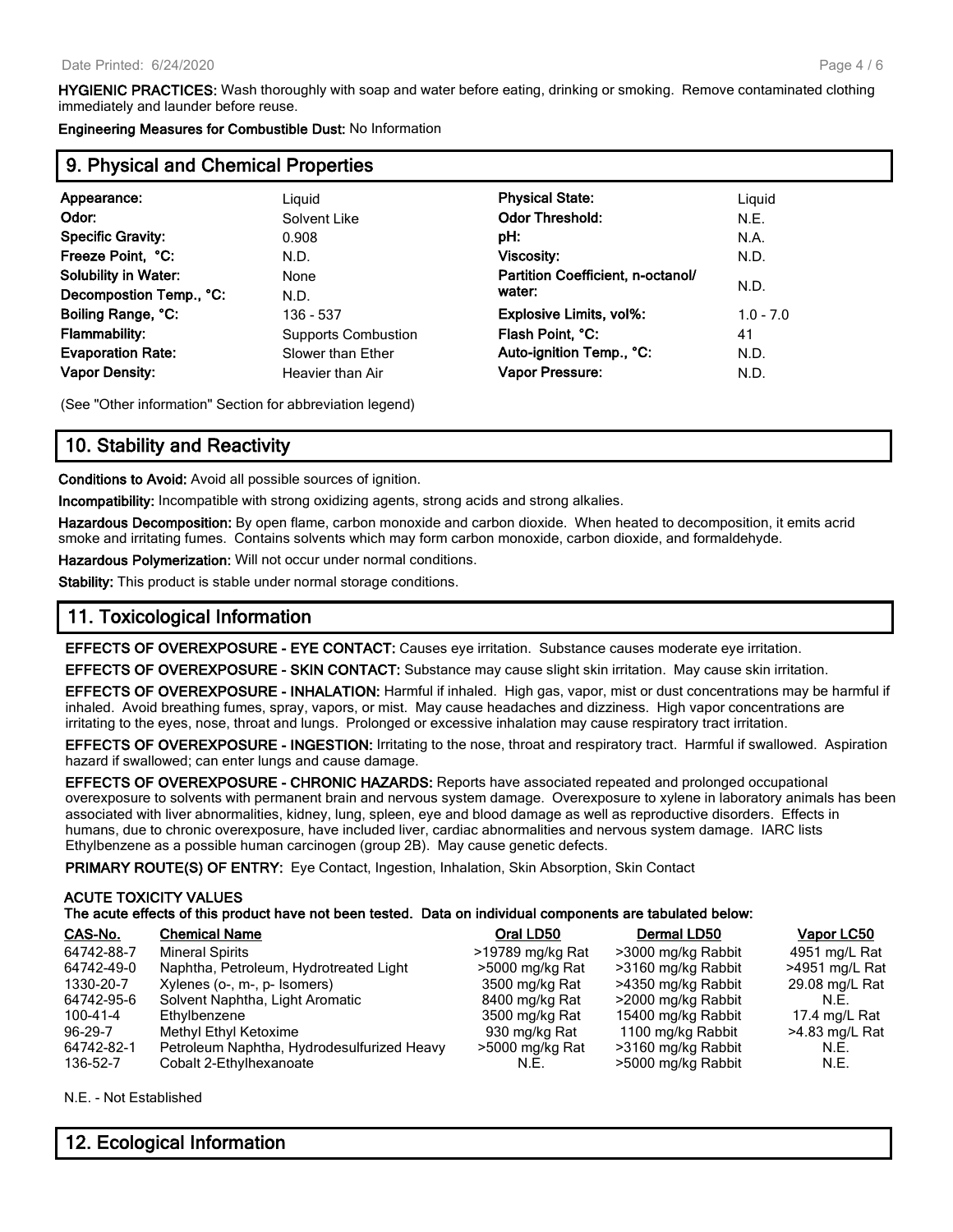**HYGIENIC PRACTICES:** Wash thoroughly with soap and water before eating, drinking or smoking. Remove contaminated clothing immediately and launder before reuse.

**Engineering Measures for Combustible Dust:** No Information

## **9. Physical and Chemical Properties**

| Appearance:                 | Liguid                     | <b>Physical State:</b>            | Liguid      |
|-----------------------------|----------------------------|-----------------------------------|-------------|
| Odor:                       | Solvent Like               | <b>Odor Threshold:</b>            | N.E.        |
| <b>Specific Gravity:</b>    | 0.908                      | pH:                               | N.A.        |
| Freeze Point, °C:           | N.D.                       | <b>Viscosity:</b>                 | N.D.        |
| <b>Solubility in Water:</b> | None                       | Partition Coefficient, n-octanol/ |             |
| Decompostion Temp., °C:     | N.D.                       | water:                            | N.D.        |
| Boiling Range, °C:          | 136 - 537                  | <b>Explosive Limits, vol%:</b>    | $1.0 - 7.0$ |
| <b>Flammability:</b>        | <b>Supports Combustion</b> | Flash Point, °C:                  | 41          |
| <b>Evaporation Rate:</b>    | Slower than Ether          | Auto-ignition Temp., °C:          | N.D.        |
| <b>Vapor Density:</b>       | Heavier than Air           | <b>Vapor Pressure:</b>            | N.D.        |
|                             |                            |                                   |             |

(See "Other information" Section for abbreviation legend)

## **10. Stability and Reactivity**

**Conditions to Avoid:** Avoid all possible sources of ignition.

**Incompatibility:** Incompatible with strong oxidizing agents, strong acids and strong alkalies.

**Hazardous Decomposition:** By open flame, carbon monoxide and carbon dioxide. When heated to decomposition, it emits acrid smoke and irritating fumes. Contains solvents which may form carbon monoxide, carbon dioxide, and formaldehyde.

**Hazardous Polymerization:** Will not occur under normal conditions.

**Stability:** This product is stable under normal storage conditions.

## **11. Toxicological Information**

**EFFECTS OF OVEREXPOSURE - EYE CONTACT:** Causes eye irritation. Substance causes moderate eye irritation.

**EFFECTS OF OVEREXPOSURE - SKIN CONTACT:** Substance may cause slight skin irritation. May cause skin irritation.

**EFFECTS OF OVEREXPOSURE - INHALATION:** Harmful if inhaled. High gas, vapor, mist or dust concentrations may be harmful if inhaled. Avoid breathing fumes, spray, vapors, or mist. May cause headaches and dizziness. High vapor concentrations are irritating to the eyes, nose, throat and lungs. Prolonged or excessive inhalation may cause respiratory tract irritation.

**EFFECTS OF OVEREXPOSURE - INGESTION:** Irritating to the nose, throat and respiratory tract. Harmful if swallowed. Aspiration hazard if swallowed; can enter lungs and cause damage.

**EFFECTS OF OVEREXPOSURE - CHRONIC HAZARDS:** Reports have associated repeated and prolonged occupational overexposure to solvents with permanent brain and nervous system damage. Overexposure to xylene in laboratory animals has been associated with liver abnormalities, kidney, lung, spleen, eye and blood damage as well as reproductive disorders. Effects in humans, due to chronic overexposure, have included liver, cardiac abnormalities and nervous system damage. IARC lists Ethylbenzene as a possible human carcinogen (group 2B). May cause genetic defects.

**PRIMARY ROUTE(S) OF ENTRY:** Eye Contact, Ingestion, Inhalation, Skin Absorption, Skin Contact

#### **ACUTE TOXICITY VALUES The acute effects of this product have not been tested. Data on individual components are tabulated below:**

| <b>Chemical Name</b>                       | Oral LD50                              | Dermal LD50        | Vapor LC50       |
|--------------------------------------------|----------------------------------------|--------------------|------------------|
| <b>Mineral Spirits</b>                     | >19789 mg/kg Rat                       | >3000 mg/kg Rabbit | 4951 mg/L Rat    |
|                                            | >5000 mg/kg Rat                        | >3160 mg/kg Rabbit | >4951 mg/L Rat   |
| Xylenes (o-, m-, p- Isomers)               | 3500 mg/kg Rat                         | >4350 mg/kg Rabbit | 29.08 mg/L Rat   |
| Solvent Naphtha, Light Aromatic            | 8400 mg/kg Rat                         | >2000 mg/kg Rabbit | N.F.             |
| Ethylbenzene                               | 3500 mg/kg Rat                         | 15400 mg/kg Rabbit | 17.4 mg/L Rat    |
| Methyl Ethyl Ketoxime                      | 930 mg/kg Rat                          | 1100 mg/kg Rabbit  | $>4.83$ mg/L Rat |
| Petroleum Naphtha, Hydrodesulfurized Heavy | >5000 mg/kg Rat                        | >3160 mg/kg Rabbit | N.E.             |
| Cobalt 2-Ethylhexanoate                    | N.E.                                   | >5000 mg/kg Rabbit | N.E.             |
|                                            | Naphtha, Petroleum, Hydrotreated Light |                    |                  |

N.E. - Not Established

## **12. Ecological Information**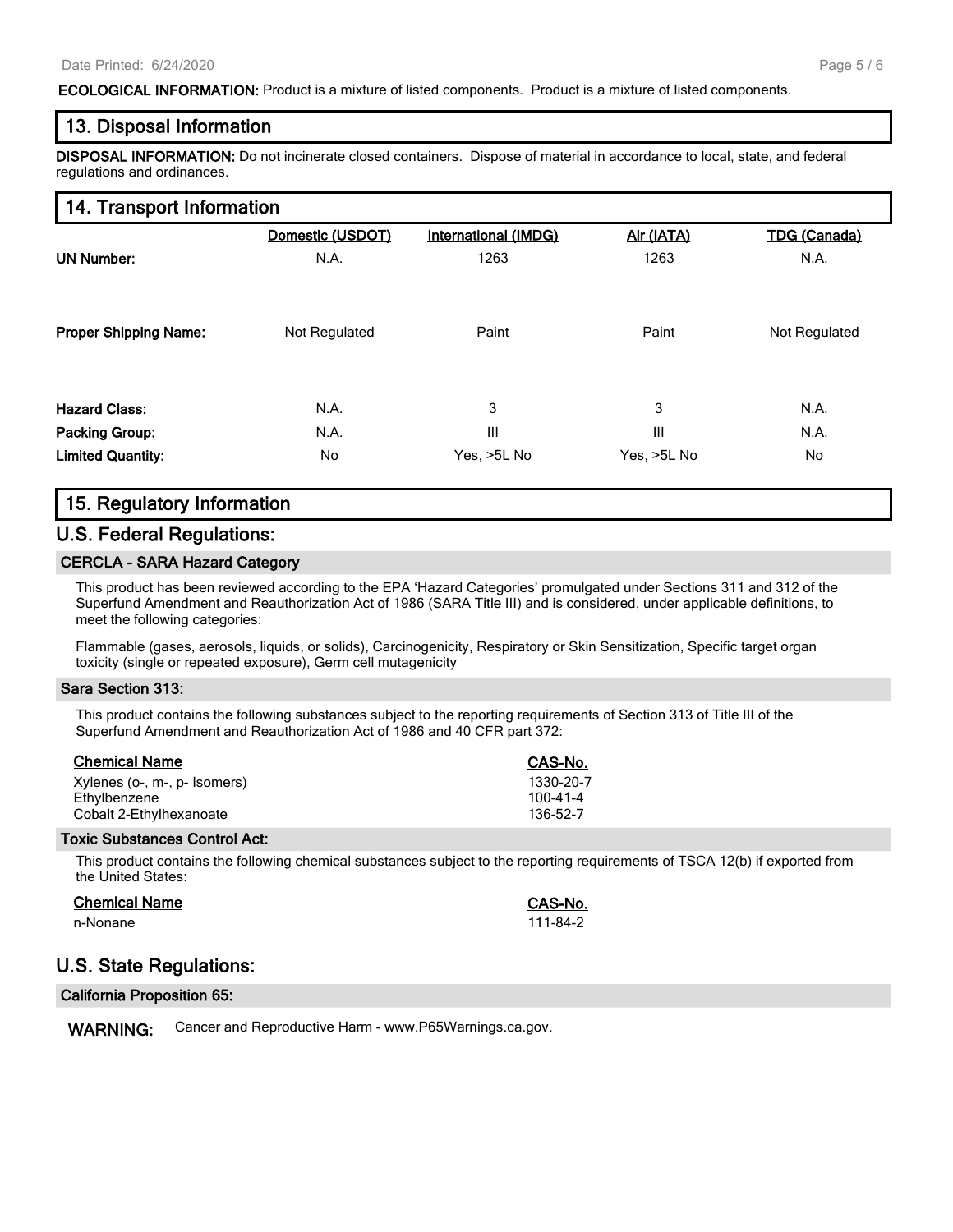#### **ECOLOGICAL INFORMATION:** Product is a mixture of listed components. Product is a mixture of listed components.

### **13. Disposal Information**

**DISPOSAL INFORMATION:** Do not incinerate closed containers. Dispose of material in accordance to local, state, and federal regulations and ordinances.

#### **14. Transport Information**

|                              | Domestic (USDOT) | International (IMDG) | Air (IATA)  | <b>TDG (Canada)</b> |
|------------------------------|------------------|----------------------|-------------|---------------------|
| <b>UN Number:</b>            | N.A.             | 1263                 | 1263        | N.A.                |
|                              |                  |                      |             |                     |
| <b>Proper Shipping Name:</b> | Not Regulated    | Paint                | Paint       | Not Regulated       |
|                              |                  |                      |             |                     |
|                              |                  |                      |             |                     |
| <b>Hazard Class:</b>         | N.A.             | 3                    | 3           | N.A.                |
| <b>Packing Group:</b>        | N.A.             | III                  | III         | N.A.                |
| <b>Limited Quantity:</b>     | No               | Yes, >5L No          | Yes, >5L No | No.                 |

### **15. Regulatory Information**

## **U.S. Federal Regulations:**

#### **CERCLA - SARA Hazard Category**

This product has been reviewed according to the EPA 'Hazard Categories' promulgated under Sections 311 and 312 of the Superfund Amendment and Reauthorization Act of 1986 (SARA Title III) and is considered, under applicable definitions, to meet the following categories:

Flammable (gases, aerosols, liquids, or solids), Carcinogenicity, Respiratory or Skin Sensitization, Specific target organ toxicity (single or repeated exposure), Germ cell mutagenicity

#### **Sara Section 313:**

This product contains the following substances subject to the reporting requirements of Section 313 of Title III of the Superfund Amendment and Reauthorization Act of 1986 and 40 CFR part 372:

| <b>Chemical Name</b>         | CAS-No.        |
|------------------------------|----------------|
| Xylenes (o-, m-, p- Isomers) | 1330-20-7      |
| Ethylbenzene                 | $100 - 41 - 4$ |
| Cobalt 2-Ethylhexanoate      | 136-52-7       |

#### **Toxic Substances Control Act:**

This product contains the following chemical substances subject to the reporting requirements of TSCA 12(b) if exported from the United States:

#### **Chemical Name CAS-No.**

n-Nonane 111-84-2

## **U.S. State Regulations:**

| <b>California Proposition 65:</b> |  |  |
|-----------------------------------|--|--|
|-----------------------------------|--|--|

**WARNING:** Cancer and Reproductive Harm - www.P65Warnings.ca.gov.